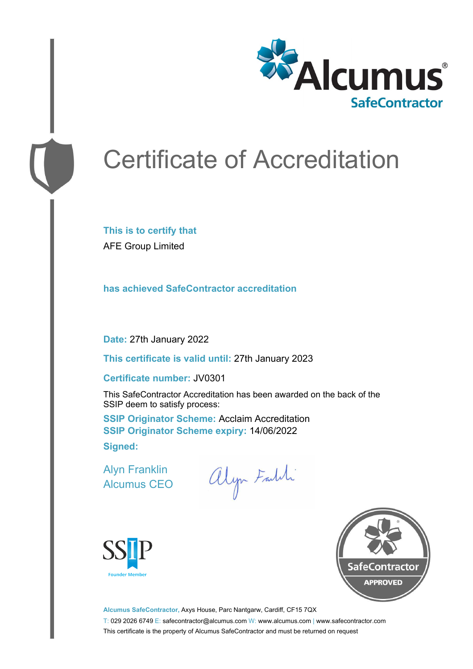

# Certificate of Accreditation

**This is to certify that** AFE Group Limited

**has achieved SafeContractor accreditation**

**Date:** 27th January 2022

**This certificate is valid until:** 27th January 2023

#### **Certificate number:** JV0301

This SafeContractor Accreditation has been awarded on the back of the SSIP deem to satisfy process:

**SSIP Originator Scheme: Acclaim Accreditation SSIP Originator Scheme expiry:** 14/06/2022 **Signed:**

Alyn Franklin Alcumus CEO

alyn Faldi





**Alcumus SafeContractor,** Axys House, Parc Nantgarw, Cardiff, CF15 7QX T: 029 2026 6749 E: safecontractor@alcumus.com W: www.alcumus.com | www.safecontractor.com This certificate is the property of Alcumus SafeContractor and must be returned on request